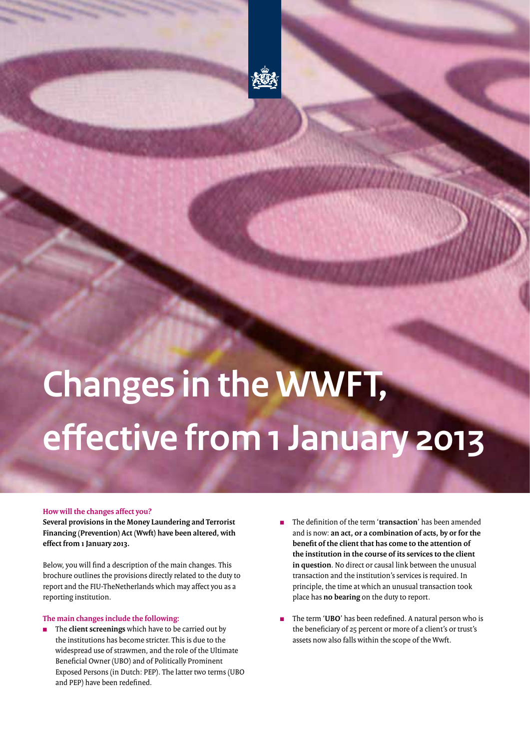

# **Changes in the WWFT, effective from 1 January 2013**

### **How will the changes affect you?**

**Several provisions in the Money Laundering and Terrorist Financing (Prevention) Act (Wwft) have been altered, with effect from 1 January 2013.** 

Below, you will find a description of the main changes. This brochure outlines the provisions directly related to the duty to report and the FIU-TheNetherlands which may affect you as a reporting institution.

### **The main changes include the following:**

- <sup>n</sup> The **client screenings** which have to be carried out by the institutions has become stricter. This is due to the widespread use of strawmen, and the role of the Ultimate Beneficial Owner (UBO) and of Politically Prominent Exposed Persons (in Dutch: PEP). The latter two terms (UBO and PEP) have been redefined.
- <sup>n</sup> The definition of the term '**transaction**' has been amended and is now: **an act, or a combination of acts, by or for the benefit of the client that has come to the attention of the institution in the course of its services to the client in question**. No direct or causal link between the unusual transaction and the institution's services is required. In principle, the time at which an unusual transaction took place has **no bearing** on the duty to report.

**TAT MARKETING** 

<sup>n</sup> The term '**UBO**' has been redefined. A natural person who is the beneficiary of 25 percent or more of a client's or trust's assets now also falls within the scope of the Wwft.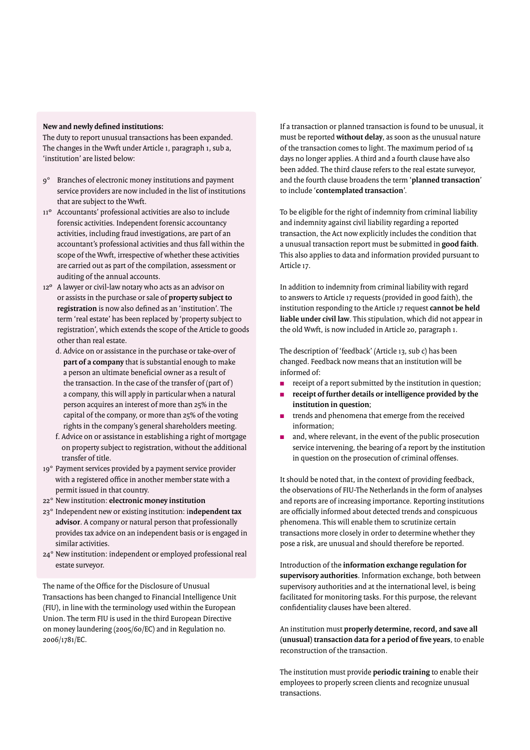## **New and newly defined institutions:**

The duty to report unusual transactions has been expanded. The changes in the Wwft under Article 1, paragraph 1, sub a, 'institution' are listed below:

- 9° Branches of electronic money institutions and payment service providers are now included in the list of institutions that are subject to the Wwft.
- 11º Accountants' professional activities are also to include forensic activities. Independent forensic accountancy activities, including fraud investigations, are part of an accountant's professional activities and thus fall within the scope of the Wwft, irrespective of whether these activities are carried out as part of the compilation, assessment or auditing of the annual accounts.
- 12º A lawyer or civil-law notary who acts as an advisor on or assists in the purchase or sale of **property subject to registration** is now also defined as an 'institution'. The term 'real estate' has been replaced by 'property subject to registration', which extends the scope of the Article to goods other than real estate.
	- d. Advice on or assistance in the purchase or take-over of **part of a company** that is substantial enough to make a person an ultimate beneficial owner as a result of the transaction. In the case of the transfer of (part of ) a company, this will apply in particular when a natural person acquires an interest of more than 25% in the capital of the company, or more than 25% of the voting rights in the company's general shareholders meeting.
	- f. Advice on or assistance in establishing a right of mortgage on property subject to registration, without the additional transfer of title.
- 19° Payment services provided by a payment service provider with a registered office in another member state with a permit issued in that country.
- 22° New institution: **electronic money institution**
- 23° Independent new or existing institution: i**ndependent tax advisor**. A company or natural person that professionally provides tax advice on an independent basis or is engaged in similar activities.
- 24° New institution: independent or employed professional real estate surveyor.

The name of the Office for the Disclosure of Unusual Transactions has been changed to Financial Intelligence Unit (FIU), in line with the terminology used within the European Union. The term FIU is used in the third European Directive on money laundering (2005/60/EC) and in Regulation no. 2006/1781/EC.

If a transaction or planned transaction is found to be unusual, it must be reported **without delay**, as soon as the unusual nature of the transaction comes to light. The maximum period of 14 days no longer applies. A third and a fourth clause have also been added. The third clause refers to the real estate surveyor, and the fourth clause broadens the term '**planned transaction**' to include '**contemplated transaction**'.

To be eligible for the right of indemnity from criminal liability and indemnity against civil liability regarding a reported transaction, the Act now explicitly includes the condition that a unusual transaction report must be submitted in **good faith**. This also applies to data and information provided pursuant to Article 17.

In addition to indemnity from criminal liability with regard to answers to Article 17 requests (provided in good faith), the institution responding to the Article 17 request **cannot be held liable under civil law**. This stipulation, which did not appear in the old Wwft, is now included in Article 20, paragraph 1.

The description of 'feedback' (Article 13, sub c) has been changed. Feedback now means that an institution will be informed of:

- $\blacksquare$  receipt of a report submitted by the institution in question;
- **receipt of further details or intelligence provided by the institution in question**;
- trends and phenomena that emerge from the received information;
- $\blacksquare$  and, where relevant, in the event of the public prosecution service intervening, the bearing of a report by the institution in question on the prosecution of criminal offenses.

It should be noted that, in the context of providing feedback, the observations of FIU-The Netherlands in the form of analyses and reports are of increasing importance. Reporting institutions are officially informed about detected trends and conspicuous phenomena. This will enable them to scrutinize certain transactions more closely in order to determine whether they pose a risk, are unusual and should therefore be reported.

Introduction of the **information exchange regulation for supervisory authorities**. Information exchange, both between supervisory authorities and at the international level, is being facilitated for monitoring tasks. For this purpose, the relevant confidentiality clauses have been altered.

An institution must **properly determine, record, and save all (unusual) transaction data for a period of five years**, to enable reconstruction of the transaction.

The institution must provide **periodic training** to enable their employees to properly screen clients and recognize unusual transactions.